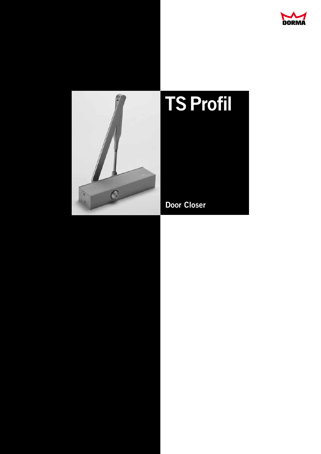

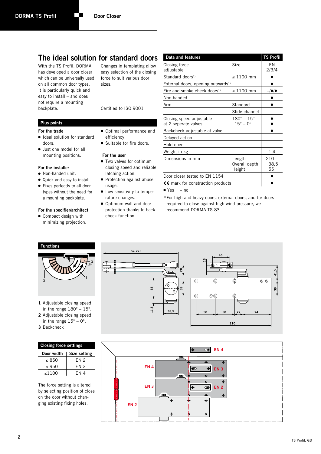# **The ideal solution for standard doors**

With the TS Profil, DORMA has developed a door closer which can be universally used on all common door types. It is particularly quick and easy to install – and does not require a mounting backplate.

Changes in templating allow easy selection of the closing force to suit various door sizes.

Certified to ISO 9001

## **Plus points**

## **For the trade**

- Ideal solution for standard doors.
- Just one model for all mounting positions.

### **For the installer**

- Non-handed unit.
- Quick and easy to install.
- Fixes perfectly to all door types without the need for a mounting backplate.

#### **For the specifier/architect**

• Compact design with minimizing projection.

- Optimal performance and efficiency.
- Suitable for fire doors.

### **For the user**

- Two valves for optimum closing speed and reliable latching action.
- Protection against abuse usage.
- Low sensitivity to temperature changes.
- Optimum wall and door protection thanks to backcheck function.

| Data and features                                |                                                    | <b>TS Profil</b>    |
|--------------------------------------------------|----------------------------------------------------|---------------------|
| Closing force<br>adjustable                      | Size                                               | ΕN<br>2/3/4         |
| Standard doors <sup>1)</sup>                     | ≤ 1100 mm                                          |                     |
| External doors, opening outwards <sup>1)</sup>   |                                                    |                     |
| Fire and smoke check doors <sup>1)</sup>         | ≤ 1100 mm                                          | $-/\bullet/\bullet$ |
| Non-handed                                       |                                                    |                     |
| Arm                                              | Standard                                           |                     |
|                                                  | Slide channel                                      |                     |
| Closing speed adjustable<br>at 2 seperate valves | $180^{\circ} - 15^{\circ}$<br>$15^\circ - 0^\circ$ |                     |
| Backcheck adjustable at valve                    |                                                    |                     |
| Delayed action                                   |                                                    |                     |
| Hold-open                                        |                                                    |                     |
| Weight in kg                                     |                                                    | 1,4                 |
| Dimensions in mm                                 | Length<br>Overall depth<br>Height                  | 210<br>38,5<br>55   |
| Door closer tested to EN 1154                    |                                                    |                     |
| $\zeta$ mark for construction products           |                                                    |                     |

 $\bullet$  Yes – no



ō **EN 4 EN 4**  $\overline{\textcolor{red}{\bigstar}}$  $\overline{\bullet}$ **EN 3 EN 3** le க **EN 2** ┻ **EN 2**





- **1** Adjustable closing speed in the range  $180^\circ - 15^\circ$ .
- **2** Adjustable closing speed in the range  $15^\circ - 0^\circ$ .
- **3** Backcheck

## **Closing force settings**

| Door width | Size setting |  |
|------------|--------------|--|
| < 850      | FN 2         |  |
| ~< 950     | FN 3         |  |
| 1100       | FN 4         |  |

The force setting is altered by selecting position of close on the door without changing existing fixing holes.

**39 41,5**

39

<sup>&</sup>lt;sup>1)</sup> For high and heavy doors, external doors, and for doors required to close against high wind pressure, we recommend DORMA TS 83.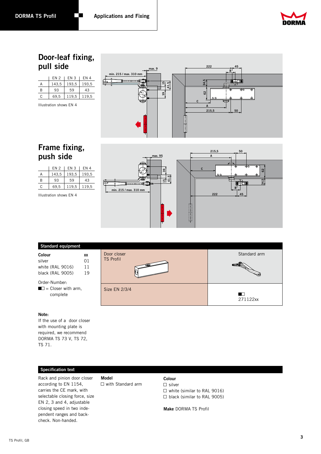

# **Door-leaf fixing,**  pull side

|   | EN 2  | EN 3  | FN 4  |
|---|-------|-------|-------|
| А | 143,5 | 193,5 | 193,5 |
| R | 93    | 59    | 43    |
| C | 69,5  | 119,5 | 119,5 |
|   |       |       |       |

Illustration shows EN 4



# **Frame fixing, push side**

|    | EN 2  | EN 3  | EN 4  |
|----|-------|-------|-------|
| А  | 143,5 | 193,5 | 193,5 |
| B  | 93    | 59    | 43    |
| C. | 69,5  | 119,5 | 119,5 |

Illustration shows EN 4



## **Standard equipment**

| Colour           | XX |
|------------------|----|
| silver           | 01 |
| white (RAL 9016) | 11 |
| black (RAL 9005) | 19 |



Order-Number:  $\blacksquare$  = Closer with arm, complete

### **Note:**

If the use of a door closer with mounting plate is required, we recommend DORMA TS 73 V, TS 72, TS 71.

## **Specification text**

Rack and pinion door closer according to EN 1154, carries the CE mark, with selectable closing force, size EN 2, 3 and 4, adjustable closing speed in two independent ranges and backcheck. Non-handed.

**Model**  $\Box$  with Standard arm

## **Colour**

 $\Box$  silver  $\Box$  white (similar to RAL 9016)  $\Box$  black (similar to RAL 9005)

**Make** DORMA TS Profil